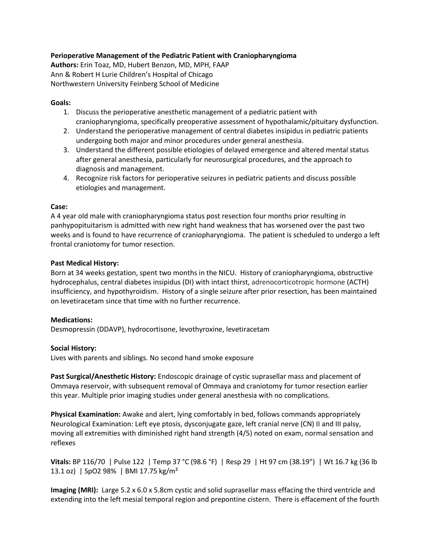## **Perioperative Management of the Pediatric Patient with Craniopharyngioma**

**Authors:** Erin Toaz, MD, Hubert Benzon, MD, MPH, FAAP Ann & Robert H Lurie Children's Hospital of Chicago Northwestern University Feinberg School of Medicine

## **Goals:**

- 1. Discuss the perioperative anesthetic management of a pediatric patient with craniopharyngioma, specifically preoperative assessment of hypothalamic/pituitary dysfunction.
- 2. Understand the perioperative management of central diabetes insipidus in pediatric patients undergoing both major and minor procedures under general anesthesia.
- 3. Understand the different possible etiologies of delayed emergence and altered mental status after general anesthesia, particularly for neurosurgical procedures, and the approach to diagnosis and management.
- 4. Recognize risk factors for perioperative seizures in pediatric patients and discuss possible etiologies and management.

### **Case:**

A 4 year old male with craniopharyngioma status post resection four months prior resulting in panhypopituitarism is admitted with new right hand weakness that has worsened over the past two weeks and is found to have recurrence of craniopharyngioma. The patient is scheduled to undergo a left frontal craniotomy for tumor resection.

# **Past Medical History:**

Born at 34 weeks gestation, spent two months in the NICU. History of craniopharyngioma, obstructive hydrocephalus, central diabetes insipidus (DI) with intact thirst, adrenocorticotropic hormone (ACTH) insufficiency, and hypothyroidism. History of a single seizure after prior resection, has been maintained on levetiracetam since that time with no further recurrence.

### **Medications:**

Desmopressin (DDAVP), hydrocortisone, levothyroxine, levetiracetam

### **Social History:**

Lives with parents and siblings. No second hand smoke exposure

**Past Surgical/Anesthetic History:** Endoscopic drainage of cystic suprasellar mass and placement of Ommaya reservoir, with subsequent removal of Ommaya and craniotomy for tumor resection earlier this year. Multiple prior imaging studies under general anesthesia with no complications.

**Physical Examination:** Awake and alert, lying comfortably in bed, follows commands appropriately Neurological Examination: Left eye ptosis, dysconjugate gaze, left cranial nerve (CN) II and III palsy, moving all extremities with diminished right hand strength (4/5) noted on exam, normal sensation and reflexes

**Vitals:** BP 116/70 | Pulse 122 | Temp 37 °C (98.6 °F) | Resp 29 | Ht 97 cm (38.19") | Wt 16.7 kg (36 lb 13.1 oz) | SpO2 98% | BMI 17.75 kg/m²

**Imaging (MRI):** Large 5.2 x 6.0 x 5.8cm cystic and solid suprasellar mass effacing the third ventricle and extending into the left mesial temporal region and prepontine cistern. There is effacement of the fourth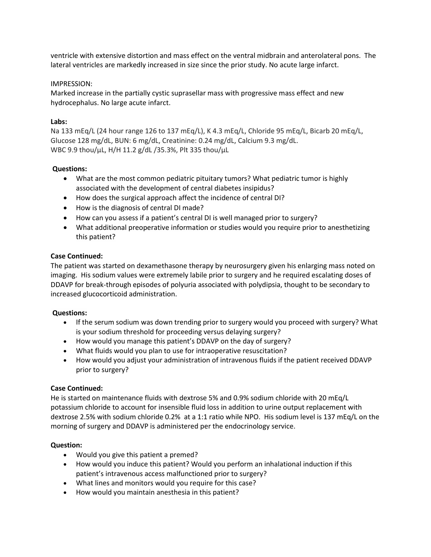ventricle with extensive distortion and mass effect on the ventral midbrain and anterolateral pons. The lateral ventricles are markedly increased in size since the prior study. No acute large infarct.

### IMPRESSION:

Marked increase in the partially cystic suprasellar mass with progressive mass effect and new hydrocephalus. No large acute infarct.

# **Labs:**

Na 133 mEq/L (24 hour range 126 to 137 mEq/L), K 4.3 mEq/L, Chloride 95 mEq/L, Bicarb 20 mEq/L, Glucose 128 mg/dL, BUN: 6 mg/dL, Creatinine: 0.24 mg/dL, Calcium 9.3 mg/dL. WBC 9.9 thou/µL, H/H 11.2 g/dL /35.3%, Plt 335 thou/µL

# **Questions:**

- What are the most common pediatric pituitary tumors? What pediatric tumor is highly associated with the development of central diabetes insipidus?
- How does the surgical approach affect the incidence of central DI?
- How is the diagnosis of central DI made?
- How can you assess if a patient's central DI is well managed prior to surgery?
- What additional preoperative information or studies would you require prior to anesthetizing this patient?

# **Case Continued:**

The patient was started on dexamethasone therapy by neurosurgery given his enlarging mass noted on imaging. His sodium values were extremely labile prior to surgery and he required escalating doses of DDAVP for break-through episodes of polyuria associated with polydipsia, thought to be secondary to increased glucocorticoid administration.

### **Questions:**

- If the serum sodium was down trending prior to surgery would you proceed with surgery? What is your sodium threshold for proceeding versus delaying surgery?
- How would you manage this patient's DDAVP on the day of surgery?
- What fluids would you plan to use for intraoperative resuscitation?
- How would you adjust your administration of intravenous fluids if the patient received DDAVP prior to surgery?

### **Case Continued:**

He is started on maintenance fluids with dextrose 5% and 0.9% sodium chloride with 20 mEq/L potassium chloride to account for insensible fluid loss in addition to urine output replacement with dextrose 2.5% with sodium chloride 0.2% at a 1:1 ratio while NPO. His sodium level is 137 mEq/L on the morning of surgery and DDAVP is administered per the endocrinology service.

### **Question:**

- Would you give this patient a premed?
- How would you induce this patient? Would you perform an inhalational induction if this patient's intravenous access malfunctioned prior to surgery?
- What lines and monitors would you require for this case?
- How would you maintain anesthesia in this patient?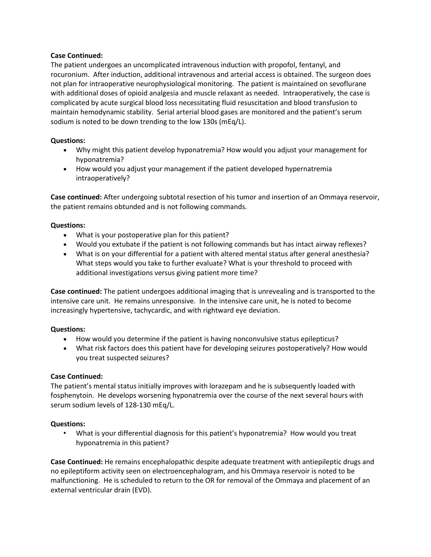### **Case Continued:**

The patient undergoes an uncomplicated intravenous induction with propofol, fentanyl, and rocuronium. After induction, additional intravenous and arterial access is obtained. The surgeon does not plan for intraoperative neurophysiological monitoring. The patient is maintained on sevoflurane with additional doses of opioid analgesia and muscle relaxant as needed. Intraoperatively, the case is complicated by acute surgical blood loss necessitating fluid resuscitation and blood transfusion to maintain hemodynamic stability. Serial arterial blood gases are monitored and the patient's serum sodium is noted to be down trending to the low 130s (mEq/L).

#### **Questions:**

- Why might this patient develop hyponatremia? How would you adjust your management for hyponatremia?
- How would you adjust your management if the patient developed hypernatremia intraoperatively?

**Case continued:** After undergoing subtotal resection of his tumor and insertion of an Ommaya reservoir, the patient remains obtunded and is not following commands.

### **Questions:**

- What is your postoperative plan for this patient?
- Would you extubate if the patient is not following commands but has intact airway reflexes?
- What is on your differential for a patient with altered mental status after general anesthesia? What steps would you take to further evaluate? What is your threshold to proceed with additional investigations versus giving patient more time?

**Case continued:** The patient undergoes additional imaging that is unrevealing and is transported to the intensive care unit. He remains unresponsive. In the intensive care unit, he is noted to become increasingly hypertensive, tachycardic, and with rightward eye deviation.

#### **Questions:**

- How would you determine if the patient is having nonconvulsive status epilepticus?
- What risk factors does this patient have for developing seizures postoperatively? How would you treat suspected seizures?

### **Case Continued:**

The patient's mental status initially improves with lorazepam and he is subsequently loaded with fosphenytoin. He develops worsening hyponatremia over the course of the next several hours with serum sodium levels of 128-130 mEq/L.

### **Questions:**

• What is your differential diagnosis for this patient's hyponatremia? How would you treat hyponatremia in this patient?

**Case Continued:** He remains encephalopathic despite adequate treatment with antiepileptic drugs and no epileptiform activity seen on electroencephalogram, and his Ommaya reservoir is noted to be malfunctioning. He is scheduled to return to the OR for removal of the Ommaya and placement of an external ventricular drain (EVD).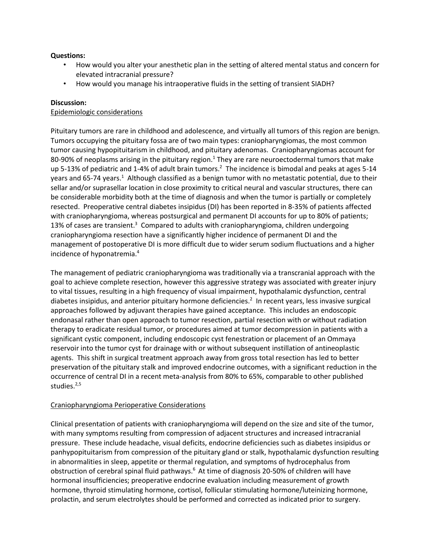## **Questions:**

- How would you alter your anesthetic plan in the setting of altered mental status and concern for elevated intracranial pressure?
- How would you manage his intraoperative fluids in the setting of transient SIADH?

# **Discussion:**

## Epidemiologic considerations

Pituitary tumors are rare in childhood and adolescence, and virtually all tumors of this region are benign. Tumors occupying the pituitary fossa are of two main types: craniopharyngiomas, the most common tumor causing hypopituitarism in childhood, and pituitary adenomas. Craniopharyngiomas account for 80-90% of neoplasms arising in the pituitary region.<sup>1</sup> They are rare neuroectodermal tumors that make up 5-13% of pediatric and 1-4% of adult brain tumors.<sup>2</sup> The incidence is bimodal and peaks at ages 5-14 years and 65-74 years.<sup>1</sup> Although classified as a benign tumor with no metastatic potential, due to their sellar and/or suprasellar location in close proximity to critical neural and vascular structures, there can be considerable morbidity both at the time of diagnosis and when the tumor is partially or completely resected. Preoperative central diabetes insipidus (DI) has been reported in 8-35% of patients affected with craniopharyngioma, whereas postsurgical and permanent DI accounts for up to 80% of patients; 13% of cases are transient.<sup>3</sup> Compared to adults with craniopharyngioma, children undergoing craniopharyngioma resection have a significantly higher incidence of permanent DI and the management of postoperative DI is more difficult due to wider serum sodium fluctuations and a higher incidence of hyponatremia. 4

The management of pediatric craniopharyngioma was traditionally via a transcranial approach with the goal to achieve complete resection, however this aggressive strategy was associated with greater injury to vital tissues, resulting in a high frequency of visual impairment, hypothalamic dysfunction, central diabetes insipidus, and anterior pituitary hormone deficiencies. 2 In recent years, less invasive surgical approaches followed by adjuvant therapies have gained acceptance. This includes an endoscopic endonasal rather than open approach to tumor resection, partial resection with or without radiation therapy to eradicate residual tumor, or procedures aimed at tumor decompression in patients with a significant cystic component, including endoscopic cyst fenestration or placement of an Ommaya reservoir into the tumor cyst for drainage with or without subsequent instillation of antineoplastic agents. This shift in surgical treatment approach away from gross total resection has led to better preservation of the pituitary stalk and improved endocrine outcomes, with a significant reduction in the occurrence of central DI in a recent meta-analysis from 80% to 65%, comparable to other published studies. 2,5

### Craniopharyngioma Perioperative Considerations

Clinical presentation of patients with craniopharyngioma will depend on the size and site of the tumor, with many symptoms resulting from compression of adjacent structures and increased intracranial pressure. These include headache, visual deficits, endocrine deficiencies such as diabetes insipidus or panhypopituitarism from compression of the pituitary gland or stalk, hypothalamic dysfunction resulting in abnormalities in sleep, appetite or thermal regulation, and symptoms of hydrocephalus from obstruction of cerebral spinal fluid pathways.<sup>6</sup> At time of diagnosis 20-50% of children will have hormonal insufficiencies; preoperative endocrine evaluation including measurement of growth hormone, thyroid stimulating hormone, cortisol, follicular stimulating hormone/luteinizing hormone, prolactin, and serum electrolytes should be performed and corrected as indicated prior to surgery.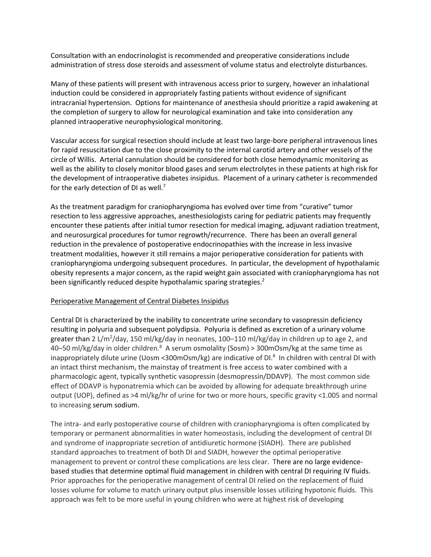Consultation with an endocrinologist is recommended and preoperative considerations include administration of stress dose steroids and assessment of volume status and electrolyte disturbances.

Many of these patients will present with intravenous access prior to surgery, however an inhalational induction could be considered in appropriately fasting patients without evidence of significant intracranial hypertension. Options for maintenance of anesthesia should prioritize a rapid awakening at the completion of surgery to allow for neurological examination and take into consideration any planned intraoperative neurophysiological monitoring.

Vascular access for surgical resection should include at least two large-bore peripheral intravenous lines for rapid resuscitation due to the close proximity to the internal carotid artery and other vessels of the circle of Willis. Arterial cannulation should be considered for both close hemodynamic monitoring as well as the ability to closely monitor blood gases and serum electrolytes in these patients at high risk for the development of intraoperative diabetes insipidus. Placement of a urinary catheter is recommended for the early detection of DI as well.<sup>7</sup>

As the treatment paradigm for craniopharyngioma has evolved over time from "curative" tumor resection to less aggressive approaches, anesthesiologists caring for pediatric patients may frequently encounter these patients after initial tumor resection for medical imaging, adjuvant radiation treatment, and neurosurgical procedures for tumor regrowth/recurrence. There has been an overall general reduction in the prevalence of postoperative endocrinopathies with the increase in less invasive treatment modalities, however it still remains a major perioperative consideration for patients with craniopharyngioma undergoing subsequent procedures. In particular, the development of hypothalamic obesity represents a major concern, as the rapid weight gain associated with craniopharyngioma has not been significantly reduced despite hypothalamic sparing strategies.<sup>2</sup>

### Perioperative Management of Central Diabetes Insipidus

Central DI is characterized by the inability to concentrate urine secondary to vasopressin deficiency resulting in polyuria and subsequent polydipsia. Polyuria is defined as excretion of a urinary volume greater than 2 L/m<sup>2</sup>/day, 150 ml/kg/day in neonates, 100–110 ml/kg/day in children up to age 2, and 40–50 ml/kg/day in older children.<sup>8</sup> A serum osmolality (Sosm) > 300mOsm/kg at the same time as inappropriately dilute urine (Uosm <300mOsm/kg) are indicative of DI. 8 In children with central DI with an intact thirst mechanism, the mainstay of treatment is free access to water combined with a pharmacologic agent, typically synthetic vasopressin (desmopressin/DDAVP). The most common side effect of DDAVP is hyponatremia which can be avoided by allowing for adequate breakthrough urine output (UOP), defined as >4 ml/kg/hr of urine for two or more hours, specific gravity <1.005 and normal to increasing serum sodium.

The intra- and early postoperative course of children with craniopharyngioma is often complicated by temporary or permanent abnormalities in water homeostasis, including the development of central DI and syndrome of inappropriate secretion of antidiuretic hormone (SIADH). There are published standard approaches to treatment of both DI and SIADH, however the optimal perioperative management to prevent or control these complications are less clear. There are no large evidencebased studies that determine optimal fluid management in children with central DI requiring IV fluids. Prior approaches for the perioperative management of central DI relied on the replacement of fluid losses volume for volume to match urinary output plus insensible losses utilizing hypotonic fluids. This approach was felt to be more useful in young children who were at highest risk of developing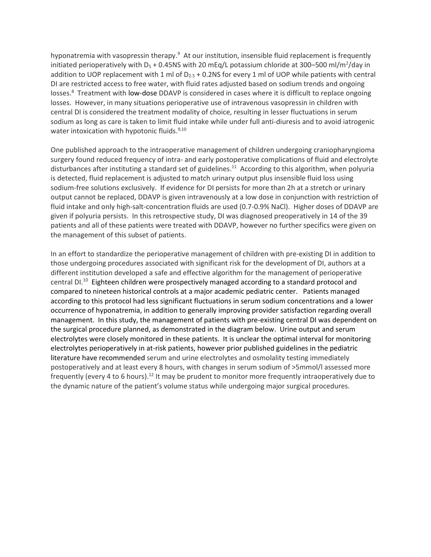hyponatremia with vasopressin therapy.<sup>9</sup> At our institution, insensible fluid replacement is frequently initiated perioperatively with D<sub>5</sub> + 0.45NS with 20 mEq/L potassium chloride at 300–500 ml/m<sup>2</sup>/day in addition to UOP replacement with 1 ml of  $D_{2.5}$  + 0.2NS for every 1 ml of UOP while patients with central DI are restricted access to free water, with fluid rates adjusted based on sodium trends and ongoing losses.<sup>8</sup> Treatment with low-dose DDAVP is considered in cases where it is difficult to replace ongoing losses. However, in many situations perioperative use of intravenous vasopressin in children with central DI is considered the treatment modality of choice, resulting in lesser fluctuations in serum sodium as long as care is taken to limit fluid intake while under full anti-diuresis and to avoid iatrogenic water intoxication with hypotonic fluids.<sup>9,10</sup>

One published approach to the intraoperative management of children undergoing craniopharyngioma surgery found reduced frequency of intra- and early postoperative complications of fluid and electrolyte disturbances after instituting a standard set of guidelines.<sup>11</sup> According to this algorithm, when polyuria is detected, fluid replacement is adjusted to match urinary output plus insensible fluid loss using sodium-free solutions exclusively. If evidence for DI persists for more than 2h at a stretch or urinary output cannot be replaced, DDAVP is given intravenously at a low dose in conjunction with restriction of fluid intake and only high-salt-concentration fluids are used (0.7-0.9% NaCl). Higher doses of DDAVP are given if polyuria persists. In this retrospective study, DI was diagnosed preoperatively in 14 of the 39 patients and all of these patients were treated with DDAVP, however no further specifics were given on the management of this subset of patients.

In an effort to standardize the perioperative management of children with pre-existing DI in addition to those undergoing procedures associated with significant risk for the development of DI, authors at a different institution developed a safe and effective algorithm for the management of perioperative central DI.<sup>10</sup> Eighteen children were prospectively managed according to a standard protocol and compared to nineteen historical controls at a major academic pediatric center. Patients managed according to this protocol had less significant fluctuations in serum sodium concentrations and a lower occurrence of hyponatremia, in addition to generally improving provider satisfaction regarding overall management. In this study, the management of patients with pre-existing central DI was dependent on the surgical procedure planned, as demonstrated in the diagram below. Urine output and serum electrolytes were closely monitored in these patients. It is unclear the optimal interval for monitoring electrolytes perioperatively in at-risk patients, however prior published guidelines in the pediatric literature have recommended serum and urine electrolytes and osmolality testing immediately postoperatively and at least every 8 hours, with changes in serum sodium of >5mmol/l assessed more frequently (every 4 to 6 hours).<sup>12</sup> It may be prudent to monitor more frequently intraoperatively due to the dynamic nature of the patient's volume status while undergoing major surgical procedures.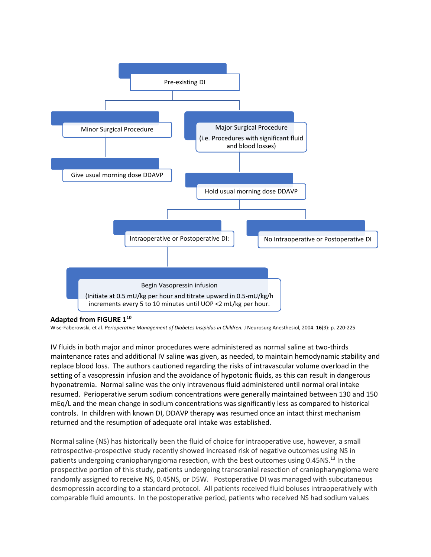

#### **Adapted from FIGURE 1<sup>10</sup>**

Wise-Faberowski, et al. *Perioperative Management of Diabetes Insipidus in Children.* J Neurosurg Anesthesiol, 2004. **16**(3): p. 220-225

IV fluids in both major and minor procedures were administered as normal saline at two-thirds maintenance rates and additional IV saline was given, as needed, to maintain hemodynamic stability and replace blood loss. The authors cautioned regarding the risks of intravascular volume overload in the setting of a vasopressin infusion and the avoidance of hypotonic fluids, as this can result in dangerous hyponatremia. Normal saline was the only intravenous fluid administered until normal oral intake resumed. Perioperative serum sodium concentrations were generally maintained between 130 and 150 mEq/L and the mean change in sodium concentrations was significantly less as compared to historical controls. In children with known DI, DDAVP therapy was resumed once an intact thirst mechanism returned and the resumption of adequate oral intake was established.

Normal saline (NS) has historically been the fluid of choice for intraoperative use, however, a small retrospective-prospective study recently showed increased risk of negative outcomes using NS in patients undergoing craniopharyngioma resection, with the best outcomes using 0.45NS.<sup>13</sup> In the prospective portion of this study, patients undergoing transcranial resection of craniopharyngioma were randomly assigned to receive NS, 0.45NS, or D5W. Postoperative DI was managed with subcutaneous desmopressin according to a standard protocol. All patients received fluid boluses intraoperatively with comparable fluid amounts. In the postoperative period, patients who received NS had sodium values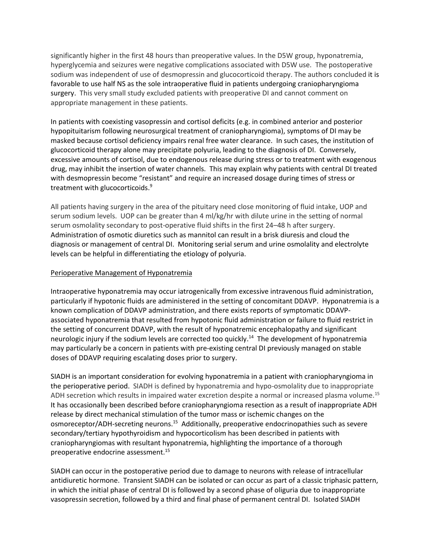significantly higher in the first 48 hours than preoperative values. In the D5W group, hyponatremia, hyperglycemia and seizures were negative complications associated with D5W use. The postoperative sodium was independent of use of desmopressin and glucocorticoid therapy. The authors concluded it is favorable to use half NS as the sole intraoperative fluid in patients undergoing craniopharyngioma surgery. This very small study excluded patients with preoperative DI and cannot comment on appropriate management in these patients.

In patients with coexisting vasopressin and cortisol deficits (e.g. in combined anterior and posterior hypopituitarism following neurosurgical treatment of craniopharyngioma), symptoms of DI may be masked because cortisol deficiency impairs renal free water clearance. In such cases, the institution of glucocorticoid therapy alone may precipitate polyuria, leading to the diagnosis of DI. Conversely, excessive amounts of cortisol, due to endogenous release during stress or to treatment with exogenous drug, may inhibit the insertion of water channels. This may explain why patients with central DI treated with desmopressin become "resistant" and require an increased dosage during times of stress or treatment with glucocorticoids. 9

All patients having surgery in the area of the pituitary need close monitoring of fluid intake, UOP and serum sodium levels. UOP can be greater than 4 ml/kg/hr with dilute urine in the setting of normal serum osmolality secondary to post-operative fluid shifts in the first 24–48 h after surgery. Administration of osmotic diuretics such as mannitol can result in a brisk diuresis and cloud the diagnosis or management of central DI. Monitoring serial serum and urine osmolality and electrolyte levels can be helpful in differentiating the etiology of polyuria.

### Perioperative Management of Hyponatremia

Intraoperative hyponatremia may occur iatrogenically from excessive intravenous fluid administration, particularly if hypotonic fluids are administered in the setting of concomitant DDAVP. Hyponatremia is a known complication of DDAVP administration, and there exists reports of symptomatic DDAVPassociated hyponatremia that resulted from hypotonic fluid administration or failure to fluid restrict in the setting of concurrent DDAVP, with the result of hyponatremic encephalopathy and significant neurologic injury if the sodium levels are corrected too quickly.<sup>14</sup> The development of hyponatremia may particularly be a concern in patients with pre-existing central DI previously managed on stable doses of DDAVP requiring escalating doses prior to surgery.

SIADH is an important consideration for evolving hyponatremia in a patient with craniopharyngioma in the perioperative period. SIADH is defined by hyponatremia and hypo-osmolality due to inappropriate ADH secretion which results in impaired water excretion despite a normal or increased plasma volume.<sup>15</sup> It has occasionally been described before craniopharyngioma resection as a result of inappropriate ADH release by direct mechanical stimulation of the tumor mass or ischemic changes on the osmoreceptor/ADH-secreting neurons.<sup>15</sup> Additionally, preoperative endocrinopathies such as severe secondary/tertiary hypothyroidism and hypocorticolism has been described in patients with craniopharyngiomas with resultant hyponatremia, highlighting the importance of a thorough preoperative endocrine assessment. 15

SIADH can occur in the postoperative period due to damage to neurons with release of intracellular antidiuretic hormone. Transient SIADH can be isolated or can occur as part of a classic triphasic pattern, in which the initial phase of central DI is followed by a second phase of oliguria due to inappropriate vasopressin secretion, followed by a third and final phase of permanent central DI. Isolated SIADH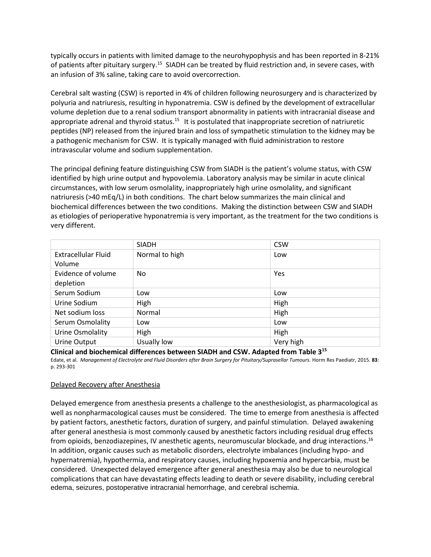typically occurs in patients with limited damage to the neurohypophysis and has been reported in 8-21% of patients after pituitary surgery.<sup>15</sup> SIADH can be treated by fluid restriction and, in severe cases, with an infusion of 3% saline, taking care to avoid overcorrection.

Cerebral salt wasting (CSW) is reported in 4% of children following neurosurgery and is characterized by polyuria and natriuresis, resulting in hyponatremia. CSW is defined by the development of extracellular volume depletion due to a renal sodium transport abnormality in patients with intracranial disease and appropriate adrenal and thyroid status.<sup>15</sup> It is postulated that inappropriate secretion of natriuretic peptides (NP) released from the injured brain and loss of sympathetic stimulation to the kidney may be a pathogenic mechanism for CSW. It is typically managed with fluid administration to restore intravascular volume and sodium supplementation.

The principal defining feature distinguishing CSW from SIADH is the patient's volume status, with CSW identified by high urine output and hypovolemia. Laboratory analysis may be similar in acute clinical circumstances, with low serum osmolality, inappropriately high urine osmolality, and significant natriuresis (>40 mEq/L) in both conditions. The chart below summarizes the main clinical and biochemical differences between the two conditions. Making the distinction between CSW and SIADH as etiologies of perioperative hyponatremia is very important, as the treatment for the two conditions is very different.

|                                 | <b>SIADH</b>   | <b>CSW</b> |
|---------------------------------|----------------|------------|
| Extracellular Fluid<br>Volume   | Normal to high | Low        |
| Evidence of volume<br>depletion | No             | Yes        |
| Serum Sodium                    | Low            | Low        |
| Urine Sodium                    | High           | High       |
| Net sodium loss                 | Normal         | High       |
| Serum Osmolality                | Low            | Low        |
| Urine Osmolality                | High           | High       |
| Urine Output                    | Usually low    | Very high  |

**Clinical and biochemical differences between SIADH and CSW. Adapted from Table 3<sup>15</sup>**

Edate, et al. *Management of Electrolyte and Fluid Disorders after Brain Surgery for Pituitary/Suprasellar Tumours.* Horm Res Paediatr, 2015. **83**: p. 293-301

### Delayed Recovery after Anesthesia

Delayed emergence from anesthesia presents a challenge to the anesthesiologist, as pharmacological as well as nonpharmacological causes must be considered. The time to emerge from anesthesia is affected by patient factors, anesthetic factors, duration of surgery, and painful stimulation. Delayed awakening after general anesthesia is most commonly caused by anesthetic factors including residual drug effects from opioids, benzodiazepines, IV anesthetic agents, neuromuscular blockade, and drug interactions. 16 In addition, organic causes such as metabolic disorders, electrolyte imbalances (including hypo- and hypernatremia), hypothermia, and respiratory causes, including hypoxemia and hypercarbia, must be considered. Unexpected delayed emergence after general anesthesia may also be due to neurological complications that can have devastating effects leading to death or severe disability, including cerebral edema, seizures, postoperative intracranial hemorrhage, and cerebral ischemia.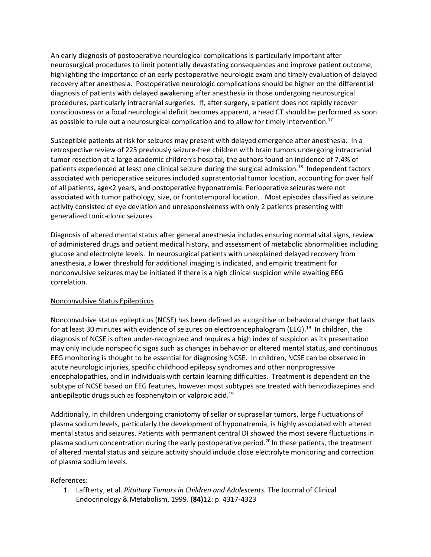An early diagnosis of postoperative neurological complications is particularly important after neurosurgical procedures to limit potentially devastating consequences and improve patient outcome, highlighting the importance of an early postoperative neurologic exam and timely evaluation of delayed recovery after anesthesia. Postoperative neurologic complications should be higher on the differential diagnosis of patients with delayed awakening after anesthesia in those undergoing neurosurgical procedures, particularly intracranial surgeries. If, after surgery, a patient does not rapidly recover consciousness or a focal neurological deficit becomes apparent, a head CT should be performed as soon as possible to rule out a neurosurgical complication and to allow for timely intervention.<sup>17</sup>

Susceptible patients at risk for seizures may present with delayed emergence after anesthesia. In a retrospective review of 223 previously seizure-free children with brain tumors undergoing intracranial tumor resection at a large academic children's hospital, the authors found an incidence of 7.4% of patients experienced at least one clinical seizure during the surgical admission. 18 Independent factors associated with perioperative seizures included supratentorial tumor location, accounting for over half of all patients, age<2 years, and postoperative hyponatremia. Perioperative seizures were not associated with tumor pathology, size, or frontotemporal location. Most episodes classified as seizure activity consisted of eye deviation and unresponsiveness with only 2 patients presenting with generalized tonic-clonic seizures.

Diagnosis of altered mental status after general anesthesia includes ensuring normal vital signs, review of administered drugs and patient medical history, and assessment of metabolic abnormalities including glucose and electrolyte levels. In neurosurgical patients with unexplained delayed recovery from anesthesia, a lower threshold for additional imaging is indicated, and empiric treatment for nonconvulsive seizures may be initiated if there is a high clinical suspicion while awaiting EEG correlation.

### Nonconvulsive Status Epilepticus

Nonconvulsive status epilepticus (NCSE) has been defined as a cognitive or behavioral change that lasts for at least 30 minutes with evidence of seizures on electroencephalogram (EEG).<sup>19</sup> In children, the diagnosis of NCSE is often under-recognized and requires a high index of suspicion as its presentation may only include nonspecific signs such as changes in behavior or altered mental status, and continuous EEG monitoring is thought to be essential for diagnosing NCSE. In children, NCSE can be observed in acute neurologic injuries, specific childhood epilepsy syndromes and other nonprogressive encephalopathies, and in individuals with certain learning difficulties. Treatment is dependent on the subtype of NCSE based on EEG features, however most subtypes are treated with benzodiazepines and antiepileptic drugs such as fosphenytoin or valproic acid. 19

Additionally, in children undergoing craniotomy of sellar or suprasellar tumors, large fluctuations of plasma sodium levels, particularly the development of hyponatremia, is highly associated with altered mental status and seizures. Patients with permanent central DI showed the most severe fluctuations in plasma sodium concentration during the early postoperative period.<sup>20</sup> In these patients, the treatment of altered mental status and seizure activity should include close electrolyte monitoring and correction of plasma sodium levels.

### References:

1. Laffterty, et al. *Pituitary Tumors in Children and Adolescents.* The Journal of Clinical Endocrinology & Metabolism, 1999. **(84)**12: p. 4317-4323